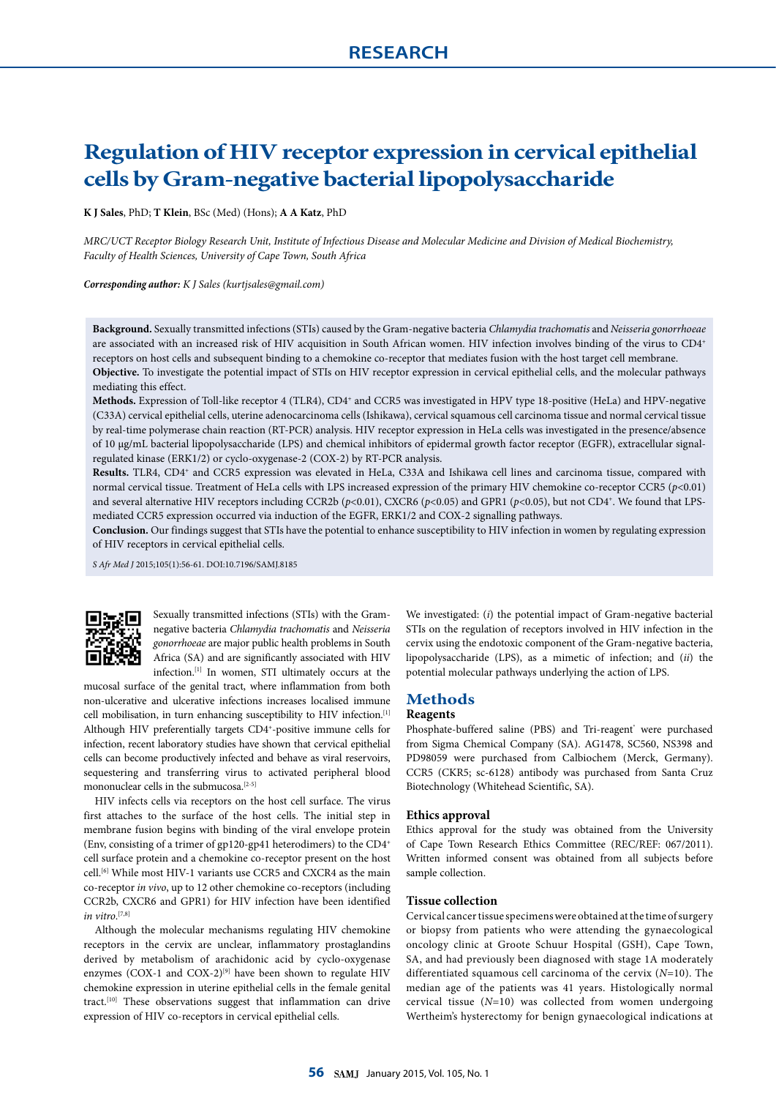# **Regulation of HIV receptor expression in cervical epithelial cells by Gram-negative bacterial lipopolysaccharide**

**K J Sales**, PhD; **T Klein**, BSc (Med) (Hons); **A A Katz**, PhD

*MRC/UCT Receptor Biology Research Unit, Institute of Infectious Disease and Molecular Medicine and Division of Medical Biochemistry, Faculty of Health Sciences, University of Cape Town, South Africa*

*Corresponding author: K J Sales (kurtjsales@gmail.com)*

**Background.** Sexually transmitted infections (STIs) caused by the Gram-negative bacteria *Chlamydia trachomatis* and *Neisseria gonorrhoeae* are associated with an increased risk of HIV acquisition in South African women. HIV infection involves binding of the virus to CD4+ receptors on host cells and subsequent binding to a chemokine co-receptor that mediates fusion with the host target cell membrane. **Objective.** To investigate the potential impact of STIs on HIV receptor expression in cervical epithelial cells, and the molecular pathways mediating this effect.

**Methods.** Expression of Toll-like receptor 4 (TLR4), CD4+ and CCR5 was investigated in HPV type 18-positive (HeLa) and HPV-negative (C33A) cervical epithelial cells, uterine adenocarcinoma cells (Ishikawa), cervical squamous cell carcinoma tissue and normal cervical tissue by real-time polymerase chain reaction (RT-PCR) analysis. HIV receptor expression in HeLa cells was investigated in the presence/absence of 10 µg/mL bacterial lipopolysaccharide (LPS) and chemical inhibitors of epidermal growth factor receptor (EGFR), extracellular signalregulated kinase (ERK1/2) or cyclo-oxygenase-2 (COX-2) by RT-PCR analysis.

**Results.** TLR4, CD4+ and CCR5 expression was elevated in HeLa, C33A and Ishikawa cell lines and carcinoma tissue, compared with normal cervical tissue. Treatment of HeLa cells with LPS increased expression of the primary HIV chemokine co-receptor CCR5 (*p*<0.01) and several alternative HIV receptors including CCR2b (*p*<0.01), CXCR6 (*p*<0.05) and GPR1 (*p*<0.05), but not CD4+. We found that LPSmediated CCR5 expression occurred via induction of the EGFR, ERK1/2 and COX-2 signalling pathways.

**Conclusion.** Our findings suggest that STIs have the potential to enhance susceptibility to HIV infection in women by regulating expression of HIV receptors in cervical epithelial cells.

*S Afr Med J* 2015;105(1):56-61. DOI:10.7196/SAMJ.8185



Sexually transmitted infections (STIs) with the Gramnegative bacteria *Chlamydia trachomatis* and *Neisseria gonorrhoeae* are major public health problems in South Africa (SA) and are significantly associated with HIV infection.[1] In women, STI ultimately occurs at the

mucosal surface of the genital tract, where inflammation from both non-ulcerative and ulcerative infections increases localised immune cell mobilisation, in turn enhancing susceptibility to HIV infection.<sup>[1]</sup> Although HIV preferentially targets CD4+ -positive immune cells for infection, recent laboratory studies have shown that cervical epithelial cells can become productively infected and behave as viral reservoirs, sequestering and transferring virus to activated peripheral blood mononuclear cells in the submucosa.<sup>[2-5]</sup>

HIV infects cells via receptors on the host cell surface. The virus first attaches to the surface of the host cells. The initial step in membrane fusion begins with binding of the viral envelope protein (Env, consisting of a trimer of gp120-gp41 heterodimers) to the CD4+ cell surface protein and a chemokine co-receptor present on the host cell.<sup>[6]</sup> While most HIV-1 variants use CCR5 and CXCR4 as the main co-receptor *in vivo*, up to 12 other chemokine co-receptors (including CCR2b, CXCR6 and GPR1) for HIV infection have been identified *in vitro*. [7,8]

Although the molecular mechanisms regulating HIV chemokine receptors in the cervix are unclear, inflammatory prostaglandins derived by metabolism of arachidonic acid by cyclo-oxygenase enzymes (COX-1 and COX-2) $[9]$  have been shown to regulate HIV chemokine expression in uterine epithelial cells in the female genital tract.[10] These observations suggest that inflammation can drive expression of HIV co-receptors in cervical epithelial cells.

We investigated: (*i*) the potential impact of Gram-negative bacterial STIs on the regulation of receptors involved in HIV infection in the cervix using the endotoxic component of the Gram-negative bacteria, lipopolysaccharide (LPS), as a mimetic of infection; and (*ii*) the potential molecular pathways underlying the action of LPS.

#### **Methods**

#### **Reagents**

Phosphate-buffered saline (PBS) and Tri-reagent' were purchased from Sigma Chemical Company (SA). AG1478, SC560, NS398 and PD98059 were purchased from Calbiochem (Merck, Germany). CCR5 (CKR5; sc-6128) antibody was purchased from Santa Cruz Biotechnology (Whitehead Scientific, SA).

#### **Ethics approval**

Ethics approval for the study was obtained from the University of Cape Town Research Ethics Committee (REC/REF: 067/2011). Written informed consent was obtained from all subjects before sample collection.

#### **Tissue collection**

Cervical cancer tissue specimens were obtained at the time of surgery or biopsy from patients who were attending the gynaecological oncology clinic at Groote Schuur Hospital (GSH), Cape Town, SA, and had previously been diagnosed with stage 1A moderately differentiated squamous cell carcinoma of the cervix (*N*=10). The median age of the patients was 41 years. Histologically normal cervical tissue (*N*=10) was collected from women undergoing Wertheim's hysterectomy for benign gynaecological indications at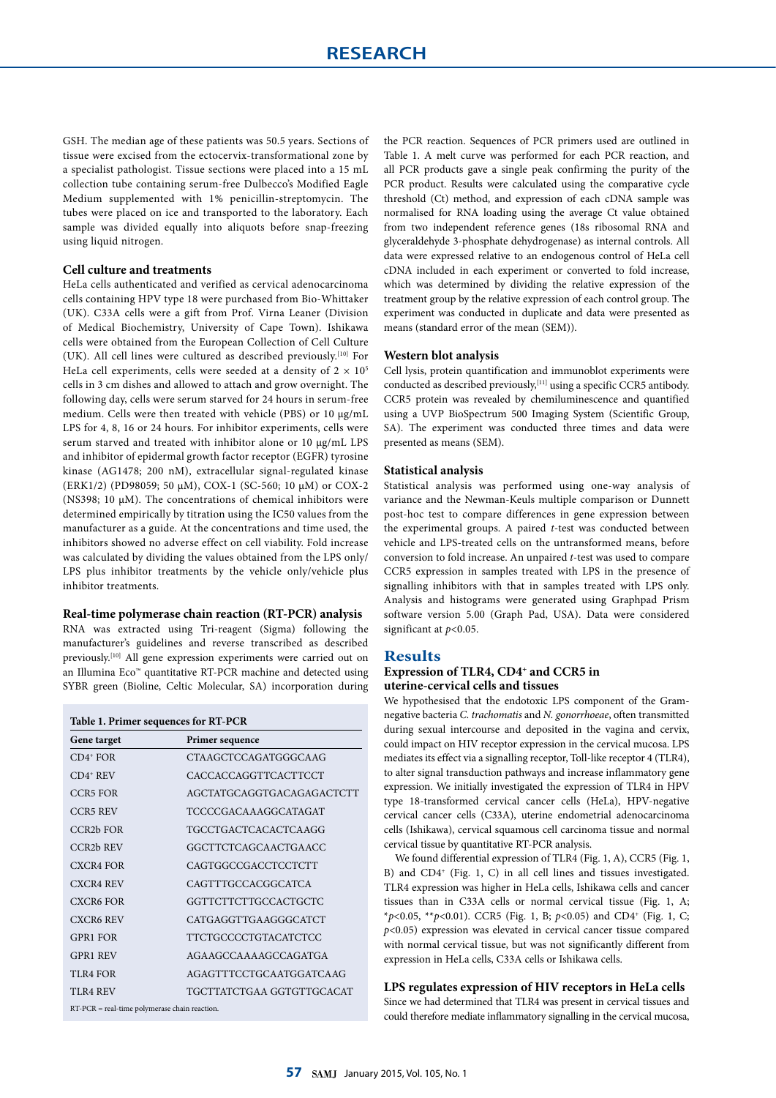GSH. The median age of these patients was 50.5 years. Sections of tissue were excised from the ectocervix-transformational zone by a specialist pathologist. Tissue sections were placed into a 15 mL collection tube containing serum-free Dulbecco's Modified Eagle Medium supplemented with 1% penicillin-streptomycin. The tubes were placed on ice and transported to the laboratory. Each sample was divided equally into aliquots before snap-freezing using liquid nitrogen.

#### **Cell culture and treatments**

HeLa cells authenticated and verified as cervical adenocarcinoma cells containing HPV type 18 were purchased from Bio-Whittaker (UK). C33A cells were a gift from Prof. Virna Leaner (Division of Medical Biochemistry, University of Cape Town). Ishikawa cells were obtained from the European Collection of Cell Culture (UK). All cell lines were cultured as described previously.[10] For HeLa cell experiments, cells were seeded at a density of  $2 \times 10^5$ cells in 3 cm dishes and allowed to attach and grow overnight. The following day, cells were serum starved for 24 hours in serum-free medium. Cells were then treated with vehicle (PBS) or 10  $\mu$ g/mL LPS for 4, 8, 16 or 24 hours. For inhibitor experiments, cells were serum starved and treated with inhibitor alone or 10 µg/mL LPS and inhibitor of epidermal growth factor receptor (EGFR) tyrosine kinase (AG1478; 200 nM), extracellular signal-regulated kinase (ERK1/2) (PD98059; 50 µM), COX-1 (SC-560; 10 µM) or COX-2 (NS398; 10  $\mu$ M). The concentrations of chemical inhibitors were determined empirically by titration using the IC50 values from the manufacturer as a guide. At the concentrations and time used, the inhibitors showed no adverse effect on cell viability. Fold increase was calculated by dividing the values obtained from the LPS only/ LPS plus inhibitor treatments by the vehicle only/vehicle plus inhibitor treatments.

#### **Real-time polymerase chain reaction (RT-PCR) analysis**

RNA was extracted using Tri-reagent (Sigma) following the manufacturer's guidelines and reverse transcribed as described previously.<sup>[10]</sup> All gene expression experiments were carried out on an Illumina Eco™ quantitative RT-PCR machine and detected using SYBR green (Bioline, Celtic Molecular, SA) incorporation during

| Table 1. Primer sequences for RT-PCR            |                           |
|-------------------------------------------------|---------------------------|
| Gene target                                     | Primer sequence           |
| $CD4$ <sup>+</sup> FOR                          | CTAAGCTCCAGATGGGCAAG      |
| $CD4$ <sup>+</sup> REV                          | CACCACCAGGTTCACTTCCT      |
| CCR5 FOR                                        | AGCTATGCAGGTGACAGAGACTCTT |
| CCR5 REV                                        | TCCCCGACAAAGGCATAGAT      |
| CCR <sub>2</sub> b FOR                          | TGCCTGACTCACACTCAAGG      |
| <b>CCR<sub>2</sub>b</b> REV                     | GGCTTCTCAGCAACTGAACC      |
| <b>CXCR4 FOR</b>                                | CAGTGGCCGACCTCCTCTT       |
| <b>CXCR4 REV</b>                                | CAGTTTGCCACGGCATCA        |
| CXCR6 FOR                                       | GGTTCTTCTTGCCACTGCTC      |
| <b>CXCR6 REV</b>                                | CATGAGGTTGAAGGGCATCT      |
| <b>GPR1 FOR</b>                                 | TTCTGCCCCTGTACATCTCC      |
| <b>GPR1 REV</b>                                 | AGAAGCCAAAAGCCAGATGA      |
| TLR4 FOR                                        | AGAGTTTCCTGCAATGGATCAAG   |
| TLR4 REV                                        | TGCTTATCTGAA GGTGTTGCACAT |
| $RT-PCR = real-time polymerase chain reaction.$ |                           |

the PCR reaction. Sequences of PCR primers used are outlined in Table 1. A melt curve was performed for each PCR reaction, and all PCR products gave a single peak confirming the purity of the PCR product. Results were calculated using the comparative cycle threshold (Ct) method, and expression of each cDNA sample was normalised for RNA loading using the average Ct value obtained from two independent reference genes (18s ribosomal RNA and glyceraldehyde 3-phosphate dehydrogenase) as internal controls. All data were expressed relative to an endogenous control of HeLa cell cDNA included in each experiment or converted to fold increase, which was determined by dividing the relative expression of the treatment group by the relative expression of each control group. The experiment was conducted in duplicate and data were presented as means (standard error of the mean (SEM)).

#### **Western blot analysis**

Cell lysis, protein quantification and immunoblot experiments were conducted as described previously,<sup>[11]</sup> using a specific CCR5 antibody. CCR5 protein was revealed by chemiluminescence and quantified using a UVP BioSpectrum 500 Imaging System (Scientific Group, SA). The experiment was conducted three times and data were presented as means (SEM).

#### **Statistical analysis**

Statistical analysis was performed using one-way analysis of variance and the Newman-Keuls multiple comparison or Dunnett post-hoc test to compare differences in gene expression between the experimental groups. A paired *t*-test was conducted between vehicle and LPS-treated cells on the untransformed means, before conversion to fold increase. An unpaired *t*-test was used to compare CCR5 expression in samples treated with LPS in the presence of signalling inhibitors with that in samples treated with LPS only. Analysis and histograms were generated using Graphpad Prism software version 5.00 (Graph Pad, USA). Data were considered significant at *p*<0.05.

### **Results**

#### **Expression of TLR4, CD4+ and CCR5 in uterine-cervical cells and tissues**

We hypothesised that the endotoxic LPS component of the Gramnegative bacteria *C. trachomatis* and *N. gonorrhoeae*, often transmitted during sexual intercourse and deposited in the vagina and cervix, could impact on HIV receptor expression in the cervical mucosa. LPS mediates its effect via a signalling receptor, Toll-like receptor 4 (TLR4), to alter signal transduction pathways and increase inflammatory gene expression. We initially investigated the expression of TLR4 in HPV type 18-transformed cervical cancer cells (HeLa), HPV-negative cervical cancer cells (C33A), uterine endometrial adenocarcinoma cells (Ishikawa), cervical squamous cell carcinoma tissue and normal cervical tissue by quantitative RT-PCR analysis.

We found differential expression of TLR4 (Fig. 1, A), CCR5 (Fig. 1, B) and CD4<sup>+</sup> (Fig. 1, C) in all cell lines and tissues investigated. TLR4 expression was higher in HeLa cells, Ishikawa cells and cancer tissues than in C33A cells or normal cervical tissue (Fig. 1, A; \**p*<0.05, \*\**p*<0.01). CCR5 (Fig. 1, B; *p*<0.05) and CD4+ (Fig. 1, C; *p*<0.05) expression was elevated in cervical cancer tissue compared with normal cervical tissue, but was not significantly different from expression in HeLa cells, C33A cells or Ishikawa cells.

**LPS regulates expression of HIV receptors in HeLa cells** Since we had determined that TLR4 was present in cervical tissues and could therefore mediate inflammatory signalling in the cervical mucosa,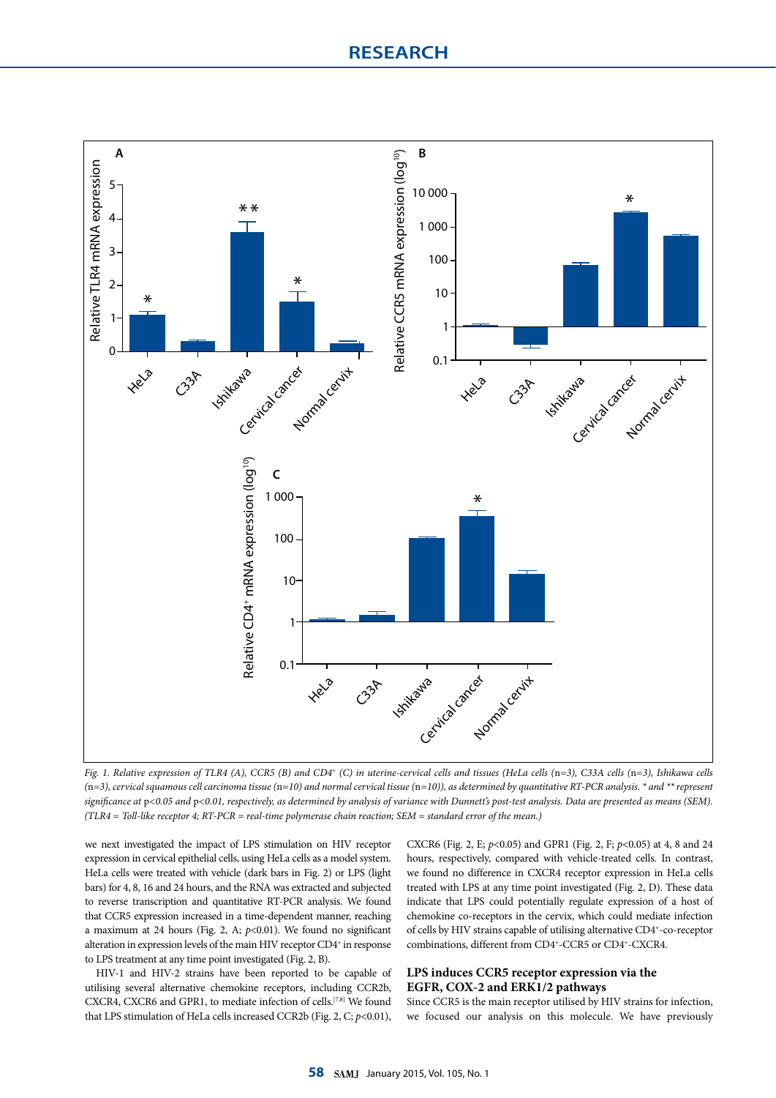

*Fig. 1. Relative expression of TLR4 (A), CCR5 (B) and CD4+ (C) in uterine-cervical cells and tissues (HeLa cells (*n*=3), C33A cells (*n*=3), Ishikawa cells (*n*=3), cervical squamous cell carcinoma tissue (*n*=10) and normal cervical tissue (*n*=10)), as determined by quantitative RT-PCR analysis. \* and \*\* represent significance at* p*<0.05 and* p*<0.01, respectively, as determined by analysis of variance with Dunnett's post-test analysis. Data are presented as means (SEM). (TLR4 = Toll-like receptor 4; RT-PCR = real-time polymerase chain reaction; SEM = standard error of the mean.)*

we next investigated the impact of LPS stimulation on HIV receptor expression in cervical epithelial cells, using HeLa cells as a model system. HeLa cells were treated with vehicle (dark bars in Fig. 2) or LPS (light bars) for 4, 8, 16 and 24 hours, and the RNA was extracted and subjected to reverse transcription and quantitative RT-PCR analysis. We found that CCR5 expression increased in a time-dependent manner, reaching a maximum at 24 hours (Fig. 2, A; *p*<0.01). We found no significant alteration in expression levels of the main HIV receptor CD4<sup>+</sup> in response to LPS treatment at any time point investigated (Fig. 2, B).

HIV-1 and HIV-2 strains have been reported to be capable of utilising several alternative chemokine receptors, including CCR2b, CXCR4, CXCR6 and GPR1, to mediate infection of cells.<sup>[7,8]</sup> We found that LPS stimulation of HeLa cells increased CCR2b (Fig. 2, C;  $p$ <0.01), CXCR6 (Fig. 2, E; *p*<0.05) and GPR1 (Fig. 2, F; *p*<0.05) at 4, 8 and 24 hours, respectively, compared with vehicle-treated cells. In contrast, we found no difference in CXCR4 receptor expression in HeLa cells treated with LPS at any time point investigated (Fig. 2, D). These data indicate that LPS could potentially regulate expression of a host of chemokine co-receptors in the cervix, which could mediate infection of cells by HIV strains capable of utilising alternative CD4+ -co-receptor combinations, different from CD4<sup>+</sup>-CCR5 or CD4<sup>+</sup>-CXCR4.

### **LPS induces CCR5 receptor expression via the EGFR, COX-2 and ERK1/2 pathways**

Since CCR5 is the main receptor utilised by HIV strains for infection, we focused our analysis on this molecule. We have previously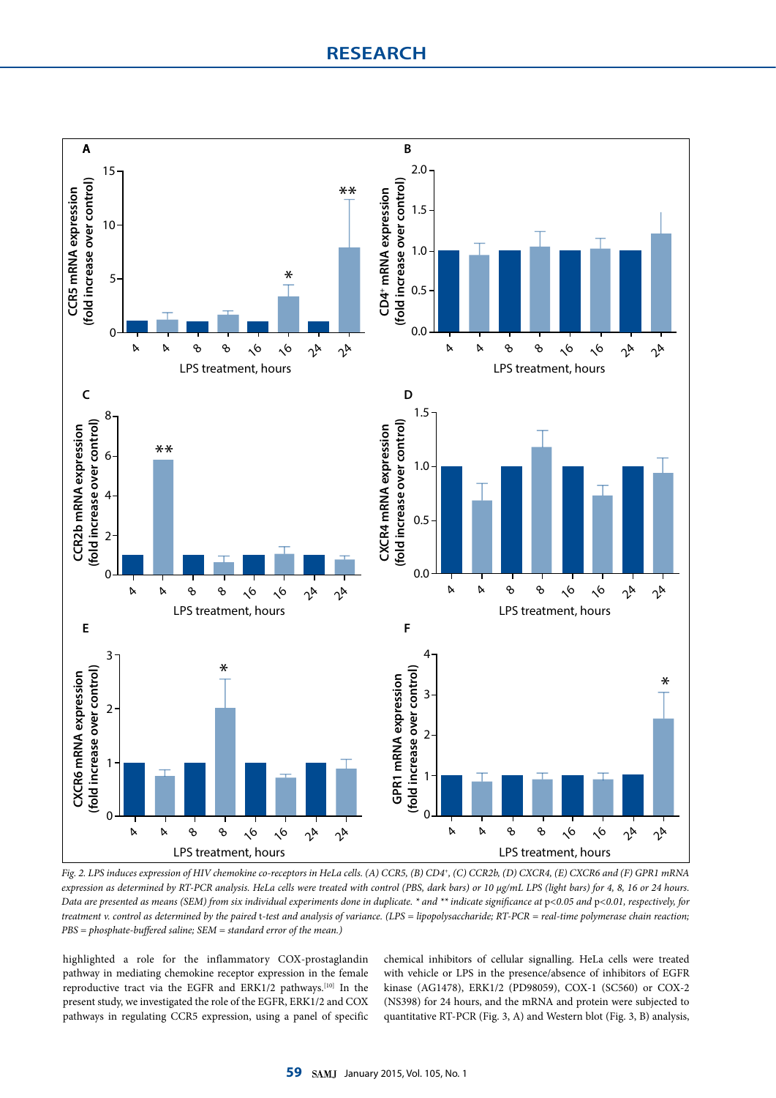

*Fig. 2. LPS induces expression of HIV chemokine co-receptors in HeLa cells. (A) CCR5, (B) CD4+, (C) CCR2b, (D) CXCR4, (E) CXCR6 and (F) GPR1 mRNA expression as determined by RT-PCR analysis. HeLa cells were treated with control (PBS, dark bars) or 10 µg/mL LPS (light bars) for 4, 8, 16 or 24 hours. Data are presented as means (SEM) from six individual experiments done in duplicate. \* and \*\* indicate significance at* p*<0.05 and* p*<0.01, respectively, for treatment v. control as determined by the paired* t*-test and analysis of variance. (LPS = lipopolysaccharide; RT-PCR = real-time polymerase chain reaction; PBS = phosphate-buffered saline; SEM = standard error of the mean.)*

highlighted a role for the inflammatory COX-prostaglandin pathway in mediating chemokine receptor expression in the female reproductive tract via the EGFR and ERK1/2 pathways.<sup>[10]</sup> In the present study, we investigated the role of the EGFR, ERK1/2 and COX pathways in regulating CCR5 expression, using a panel of specific

chemical inhibitors of cellular signalling. HeLa cells were treated with vehicle or LPS in the presence/absence of inhibitors of EGFR kinase (AG1478), ERK1/2 (PD98059), COX-1 (SC560) or COX-2 (NS398) for 24 hours, and the mRNA and protein were subjected to quantitative RT-PCR (Fig. 3, A) and Western blot (Fig. 3, B) analysis,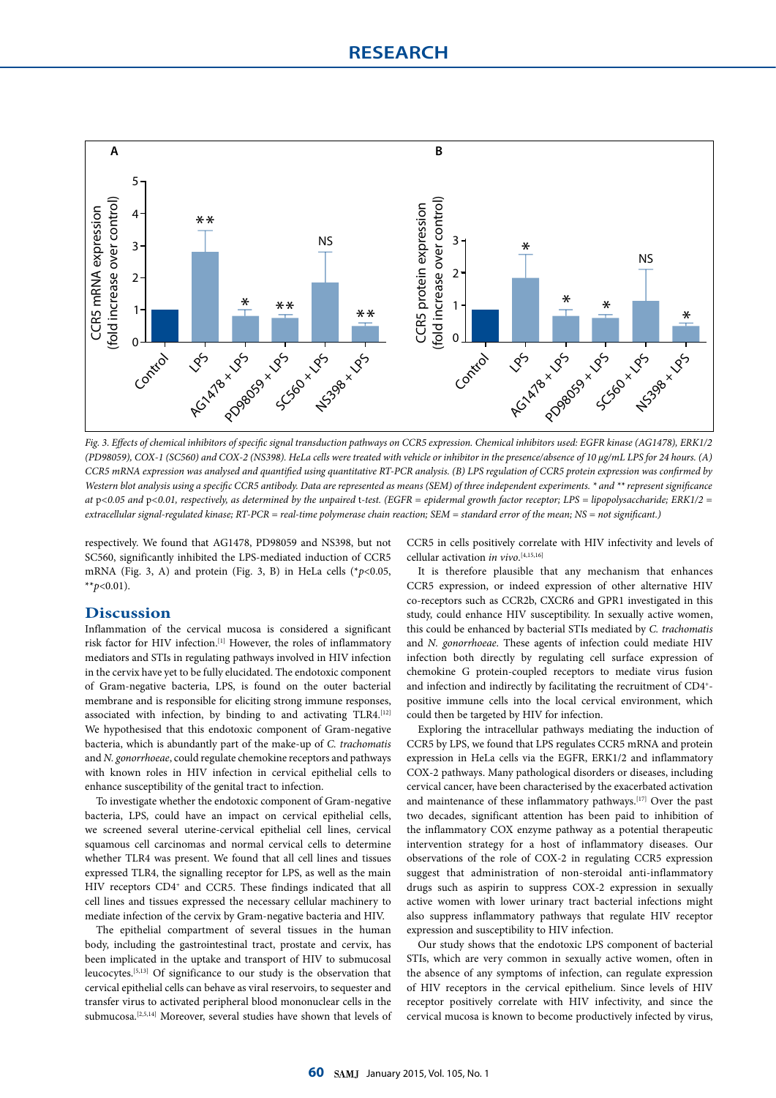

*Fig. 3. Effects of chemical inhibitors of specific signal transduction pathways on CCR5 expression. Chemical inhibitors used: EGFR kinase (AG1478), ERK1/2 (PD98059), COX-1 (SC560) and COX-2 (NS398). HeLa cells were treated with vehicle or inhibitor in the presence/absence of 10 µg/mL LPS for 24 hours. (A) CCR5 mRNA expression was analysed and quantified using quantitative RT-PCR analysis. (B) LPS regulation of CCR5 protein expression was confirmed by Western blot analysis using a specific CCR5 antibody. Data are represented as means (SEM) of three independent experiments. \* and \*\* represent significance at* p*<0.05 and* p*<0.01, respectively, as determined by the unpaired* t*-test. (EGFR = epidermal growth factor receptor; LPS = lipopolysaccharide; ERK1/2 = extracellular signal-regulated kinase; RT-PCR = real-time polymerase chain reaction; SEM = standard error of the mean; NS = not significant.)*

respectively. We found that AG1478, PD98059 and NS398, but not SC560, significantly inhibited the LPS-mediated induction of CCR5 mRNA (Fig. 3, A) and protein (Fig. 3, B) in HeLa cells ( $p$  < 0.05,  $*$ *\*p*<0.01).

### **Discussion**

Inflammation of the cervical mucosa is considered a significant risk factor for HIV infection.[1] However, the roles of inflammatory mediators and STIs in regulating pathways involved in HIV infection in the cervix have yet to be fully elucidated. The endotoxic component of Gram-negative bacteria, LPS, is found on the outer bacterial membrane and is responsible for eliciting strong immune responses, associated with infection, by binding to and activating TLR4.<sup>[12]</sup> We hypothesised that this endotoxic component of Gram-negative bacteria, which is abundantly part of the make-up of *C. trachomatis* and *N. gonorrhoeae*, could regulate chemokine receptors and pathways with known roles in HIV infection in cervical epithelial cells to enhance susceptibility of the genital tract to infection.

To investigate whether the endotoxic component of Gram-negative bacteria, LPS, could have an impact on cervical epithelial cells, we screened several uterine-cervical epithelial cell lines, cervical squamous cell carcinomas and normal cervical cells to determine whether TLR4 was present. We found that all cell lines and tissues expressed TLR4, the signalling receptor for LPS, as well as the main HIV receptors CD4+ and CCR5. These findings indicated that all cell lines and tissues expressed the necessary cellular machinery to mediate infection of the cervix by Gram-negative bacteria and HIV.

The epithelial compartment of several tissues in the human body, including the gastrointestinal tract, prostate and cervix, has been implicated in the uptake and transport of HIV to submucosal leucocytes.[5,13] Of significance to our study is the observation that cervical epithelial cells can behave as viral reservoirs, to sequester and transfer virus to activated peripheral blood mononuclear cells in the submucosa.[2,5,14] Moreover, several studies have shown that levels of CCR5 in cells positively correlate with HIV infectivity and levels of cellular activation *in vivo*. [4,15,16]

It is therefore plausible that any mechanism that enhances CCR5 expression, or indeed expression of other alternative HIV co-receptors such as CCR2b, CXCR6 and GPR1 investigated in this study, could enhance HIV susceptibility. In sexually active women, this could be enhanced by bacterial STIs mediated by *C. trachomatis* and *N. gonorrhoeae*. These agents of infection could mediate HIV infection both directly by regulating cell surface expression of chemokine G protein-coupled receptors to mediate virus fusion and infection and indirectly by facilitating the recruitment of CD4+ positive immune cells into the local cervical environment, which could then be targeted by HIV for infection.

Exploring the intracellular pathways mediating the induction of CCR5 by LPS, we found that LPS regulates CCR5 mRNA and protein expression in HeLa cells via the EGFR, ERK1/2 and inflammatory COX-2 pathways. Many pathological disorders or diseases, including cervical cancer, have been characterised by the exacerbated activation and maintenance of these inflammatory pathways.[17] Over the past two decades, significant attention has been paid to inhibition of the inflammatory COX enzyme pathway as a potential therapeutic intervention strategy for a host of inflammatory diseases. Our observations of the role of COX-2 in regulating CCR5 expression suggest that administration of non-steroidal anti-inflammatory drugs such as aspirin to suppress COX-2 expression in sexually active women with lower urinary tract bacterial infections might also suppress inflammatory pathways that regulate HIV receptor expression and susceptibility to HIV infection.

Our study shows that the endotoxic LPS component of bacterial STIs, which are very common in sexually active women, often in the absence of any symptoms of infection, can regulate expression of HIV receptors in the cervical epithelium. Since levels of HIV receptor positively correlate with HIV infectivity, and since the cervical mucosa is known to become productively infected by virus,